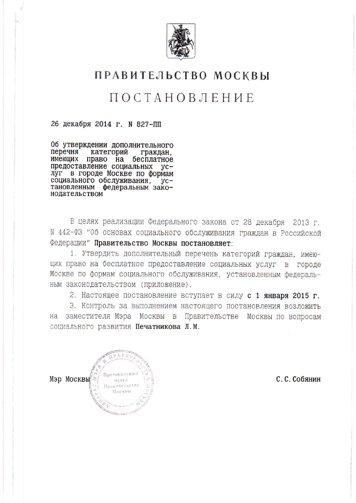

### ПРАВИТЕЛЬСТВО МОСКВЫ

## **ПОСТАНОВЛЕНИЕ**

26 декабря 2014 г. N 827-ПП

06 утверждении дополнительного перечня категорий граждан. имеющих право на бесплатное предоставление социальных  $yc$ луг в городе Москве по формам<br>социального обслуживания, установленным федеральным законодательством

В целях реализации Федерального закона от 28 декабря 2013 г. N 442-ФЗ "Об основах социального обслуживания граждан в Российской Федерации" Правительство Москвы постановляет:

1. Утвердить дополнительный перечень категорий граждан, имеющих право на бесплатное предоставление социальных услуг в городе Москве по формам социального обслуживания, установленным федераль-НЫМ ЗАКОНОДАТЕЛЬСТВОМ (Приложение).

2. Настоящее постановление вступает в силу с 1 января 2015 г.

3. Контроль за выполнением настоящего постановления возложить на заместителя Мэра Москвы в Правительстве Москвы по вопросам социального развития Печатникова Л.М.



С. С. Собянин